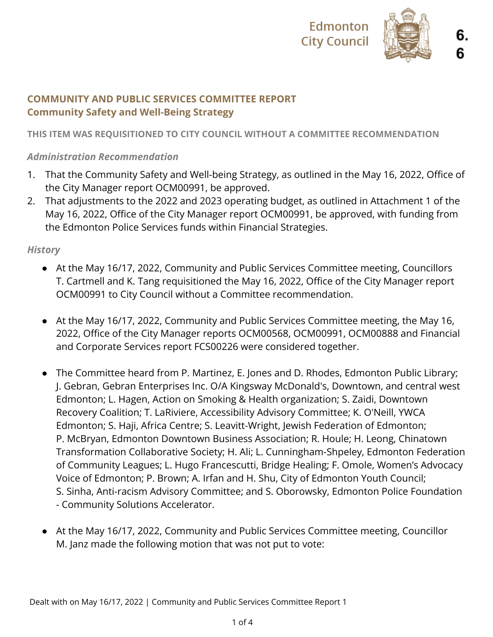

# **COMMUNITY AND PUBLIC SERVICES COMMITTEE REPORT Community Safety and Well-Being Strategy**

## **THIS ITEM WAS REQUISITIONED TO CITY COUNCIL WITHOUT A COMMITTEE RECOMMENDATION**

## *Administration Recommendation*

- 1. That the Community Safety and Well-being Strategy, as outlined in the May 16, 2022, Office of the City Manager report OCM00991, be approved.
- 2. That adjustments to the 2022 and 2023 operating budget, as outlined in Attachment 1 of the May 16, 2022, Office of the City Manager report OCM00991, be approved, with funding from the Edmonton Police Services funds within Financial Strategies.

#### *History*

- At the May 16/17, 2022, Community and Public Services Committee meeting, Councillors T. Cartmell and K. Tang requisitioned the May 16, 2022, Office of the City Manager report OCM00991 to City Council without a Committee recommendation.
- At the May 16/17, 2022, Community and Public Services Committee meeting, the May 16, 2022, Office of the City Manager reports OCM00568, OCM00991, OCM00888 and Financial and Corporate Services report FCS00226 were considered together.
- The Committee heard from P. Martinez, E. Jones and D. Rhodes, Edmonton Public Library; J. Gebran, Gebran Enterprises Inc. O/A Kingsway McDonald's, Downtown, and central west Edmonton; L. Hagen, Action on Smoking & Health organization; S. Zaidi, Downtown Recovery Coalition; T. LaRiviere, Accessibility Advisory Committee; K. O'Neill, YWCA Edmonton; S. Haji, Africa Centre; S. Leavitt-Wright, Jewish Federation of Edmonton; P. McBryan, Edmonton Downtown Business Association; R. Houle; H. Leong, Chinatown Transformation Collaborative Society; H. Ali; L. Cunningham-Shpeley, Edmonton Federation of Community Leagues; L. Hugo Francescutti, Bridge Healing; F. Omole, Women's Advocacy Voice of Edmonton; P. Brown; A. Irfan and H. Shu, City of Edmonton Youth Council; S. Sinha, Anti-racism Advisory Committee; and S. Oborowsky, Edmonton Police Foundation - Community Solutions Accelerator.
- At the May 16/17, 2022, Community and Public Services Committee meeting, Councillor M. Janz made the following motion that was not put to vote: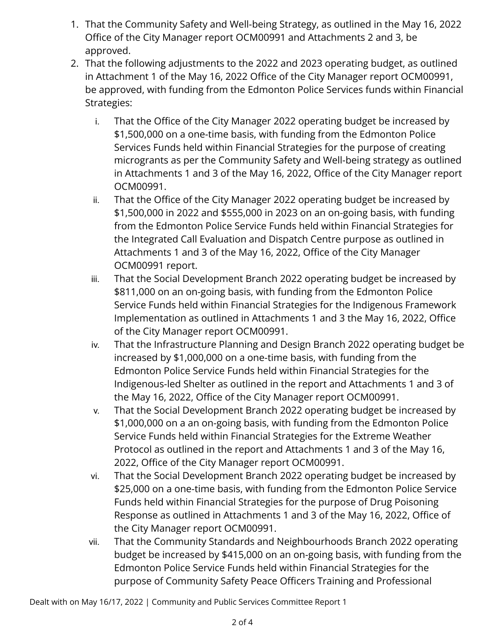- 1. That the Community Safety and Well-being Strategy, as outlined in the May 16, 2022 Office of the City Manager report OCM00991 and Attachments 2 and 3, be approved.
- 2. That the following adjustments to the 2022 and 2023 operating budget, as outlined in Attachment 1 of the May 16, 2022 Office of the City Manager report OCM00991, be approved, with funding from the Edmonton Police Services funds within Financial Strategies:
	- i. That the Office of the City Manager 2022 operating budget be increased by \$1,500,000 on a one-time basis, with funding from the Edmonton Police Services Funds held within Financial Strategies for the purpose of creating microgrants as per the Community Safety and Well-being strategy as outlined in Attachments 1 and 3 of the May 16, 2022, Office of the City Manager report OCM00991.
	- ii. That the Office of the City Manager 2022 operating budget be increased by \$1,500,000 in 2022 and \$555,000 in 2023 on an on-going basis, with funding from the Edmonton Police Service Funds held within Financial Strategies for the Integrated Call Evaluation and Dispatch Centre purpose as outlined in Attachments 1 and 3 of the May 16, 2022, Office of the City Manager OCM00991 report.
	- iii. That the Social Development Branch 2022 operating budget be increased by \$811,000 on an on-going basis, with funding from the Edmonton Police Service Funds held within Financial Strategies for the Indigenous Framework Implementation as outlined in Attachments 1 and 3 the May 16, 2022, Office of the City Manager report OCM00991.
	- iv. That the Infrastructure Planning and Design Branch 2022 operating budget be increased by \$1,000,000 on a one-time basis, with funding from the Edmonton Police Service Funds held within Financial Strategies for the Indigenous-led Shelter as outlined in the report and Attachments 1 and 3 of the May 16, 2022, Office of the City Manager report OCM00991.
	- v. That the Social Development Branch 2022 operating budget be increased by \$1,000,000 on a an on-going basis, with funding from the Edmonton Police Service Funds held within Financial Strategies for the Extreme Weather Protocol as outlined in the report and Attachments 1 and 3 of the May 16, 2022, Office of the City Manager report OCM00991.
	- vi. That the Social Development Branch 2022 operating budget be increased by \$25,000 on a one-time basis, with funding from the Edmonton Police Service Funds held within Financial Strategies for the purpose of Drug Poisoning Response as outlined in Attachments 1 and 3 of the May 16, 2022, Office of the City Manager report OCM00991.
	- vii. That the Community Standards and Neighbourhoods Branch 2022 operating budget be increased by \$415,000 on an on-going basis, with funding from the Edmonton Police Service Funds held within Financial Strategies for the purpose of Community Safety Peace Officers Training and Professional

Dealt with on May 16/17, 2022 | Community and Public Services Committee Report 1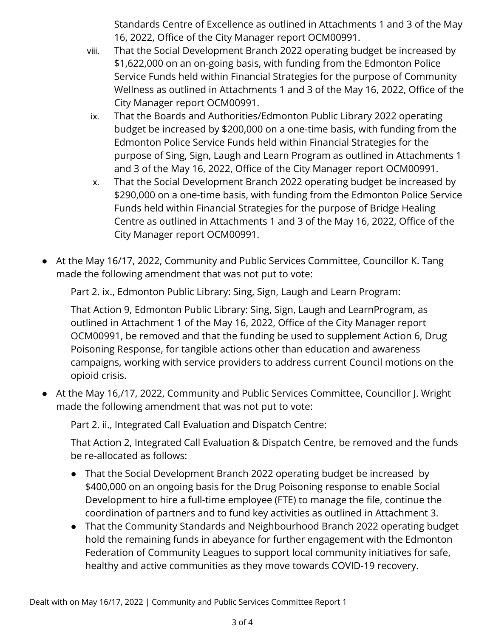Standards Centre of Excellence as outlined in Attachments 1 and 3 of the May 16, 2022, Office of the City Manager report OCM00991.

- viii. That the Social Development Branch 2022 operating budget be increased by \$1,622,000 on an on-going basis, with funding from the Edmonton Police Service Funds held within Financial Strategies for the purpose of Community Wellness as outlined in Attachments 1 and 3 of the May 16, 2022, Office of the City Manager report OCM00991.
- ix. That the Boards and Authorities/Edmonton Public Library 2022 operating budget be increased by \$200,000 on a one-time basis, with funding from the Edmonton Police Service Funds held within Financial Strategies for the purpose of Sing, Sign, Laugh and Learn Program as outlined in Attachments 1 and 3 of the May 16, 2022, Office of the City Manager report OCM00991.
- x. That the Social Development Branch 2022 operating budget be increased by \$290,000 on a one-time basis, with funding from the Edmonton Police Service Funds held within Financial Strategies for the purpose of Bridge Healing Centre as outlined in Attachments 1 and 3 of the May 16, 2022, Office of the City Manager report OCM00991.
- At the May 16/17, 2022, Community and Public Services Committee, Councillor K. Tang made the following amendment that was not put to vote:

Part 2. ix., Edmonton Public Library: Sing, Sign, Laugh and Learn Program:

That Action 9, Edmonton Public Library: Sing, Sign, Laugh and LearnProgram, as outlined in Attachment 1 of the May 16, 2022, Office of the City Manager report OCM00991, be removed and that the funding be used to supplement Action 6, Drug Poisoning Response, for tangible actions other than education and awareness campaigns, working with service providers to address current Council motions on the opioid crisis.

● At the May 16,/17, 2022, Community and Public Services Committee, Councillor J. Wright made the following amendment that was not put to vote:

Part 2. ii., Integrated Call Evaluation and Dispatch Centre:

That Action 2, Integrated Call Evaluation & Dispatch Centre, be removed and the funds be re-allocated as follows:

- That the Social Development Branch 2022 operating budget be increased by \$400,000 on an ongoing basis for the Drug Poisoning response to enable Social Development to hire a full-time employee (FTE) to manage the file, continue the coordination of partners and to fund key activities as outlined in Attachment 3.
- That the Community Standards and Neighbourhood Branch 2022 operating budget hold the remaining funds in abeyance for further engagement with the Edmonton Federation of Community Leagues to support local community initiatives for safe, healthy and active communities as they move towards COVID-19 recovery.